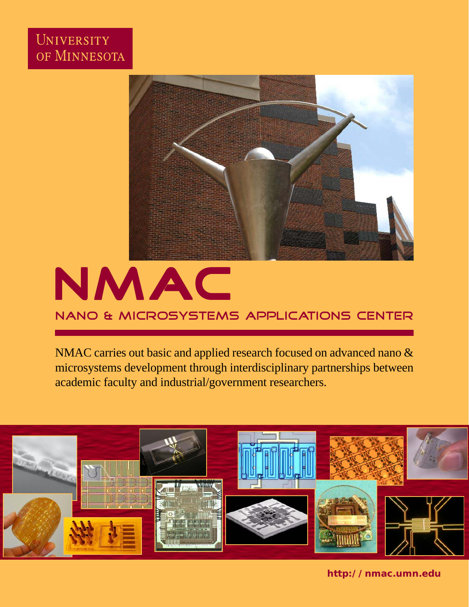## UNIVERSITY OF MINNESOTA





NMAC carries out basic and applied research focused on advanced nano & microsystems development through interdisciplinary partnerships between academic faculty and industrial/government researchers.



**http://nmac.umn.edu**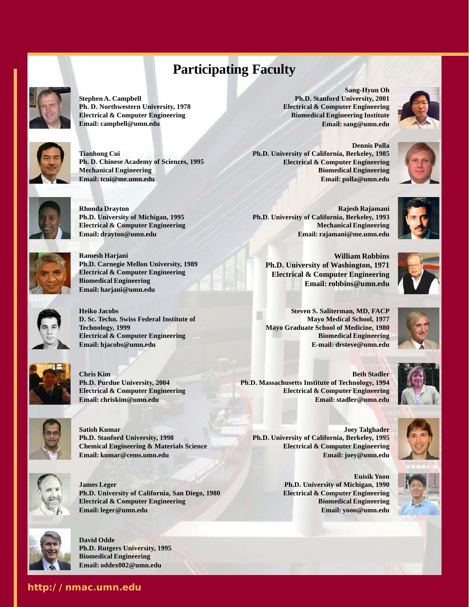## **Participating Faculty**



**Stephen A. Campbell Ph. D. Northwestern University, 1978 Electrical & Computer Engineering Email: campbell@umn.edu**



**Tianhong Cui Ph. D. Chinese Academy of Sciences, 1995 Mechanical Engineering Email: tcui@me.umn.edu**



**Rhonda Drayton Ph.D. University of Michigan, 1995 Electrical & Computer Engineering Email: drayton@umn.edu**



**Ramesh Harjani Ph.D. Carnegie Mellon University, 1989 Electrical & Computer Engineering Biomedical Engineering Email: harjani@umn.edu**



**Heiko Jacobs D. Sc. Techn. Swiss Federal Institute of Technology, 1999 Electrical & Computer Engineering Email: hjacobs@umn.edu**



**Chris Kim Ph.D. Purdue University, 2004 Electrical & Computer Engineering Email: chriskim@umn.edu**



**Satish Kumar Ph.D. Stanford University, 1998 Chemical Engineering & Materials Science Email: kumar@cems.umn.edu**



**James Leger Ph.D. University of California, San Diego, 1980 Electrical & Computer Engineering Email: leger@umn.edu**



**http://nmac.umn.edu**

**David Odde Ph.D. Rutgers University, 1995 Biomedical Engineering Email: oddex002@umn.edu**

**Sang-Hyun Oh Ph.D. Stanford University, 2001 Electrical & Computer Engineering Biomedical Engineering Institute Email: sang@umn.edu**

**Dennis Polla Ph.D. University of California, Berkeley, 1985 Electrical & Computer Engineering Biomedical Engineering Email: polla@umn.edu**





**Rajesh Rajamani Ph.D. University of California, Berkeley, 1993 Mechanical Engineering Email: rajamani@me.umn.edu**

**William Robbins Ph.D. University of Washington, 1971 Electrical & Computer Engineering Email: robbins@umn.edu**



**Steven S. Saliterman, MD, FACP Mayo Medical School, 1977 Mayo Graduate School of Medicine, 1980 Biomedical Engineering E-mail: drsteve@umn.edu**

**Beth Stadler Ph.D. Massachusetts Institute of Technology, 1994 Electrical & Computer Engineering Email: stadler@umn.edu**



**Joey Talghader Ph.D. University of California, Berkeley, 1995 Electrical & Computer Engineering Email: joey@umn.edu**

> **Euisik Yoon Ph.D. University of Michigan, 1990 Electrical & Computer Engineering Biomedical Engineering Email: yoon@umn.edu**

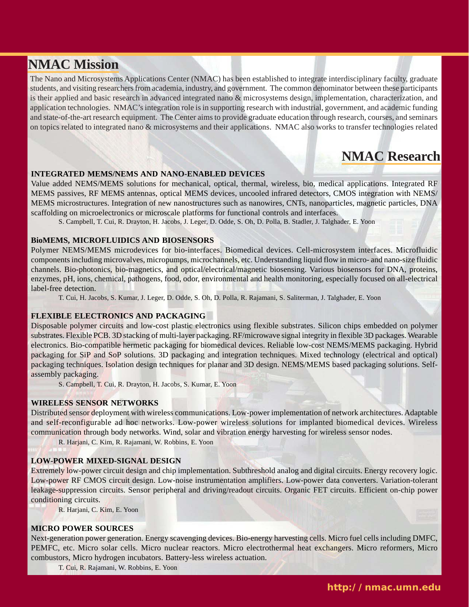## **NMAC Mission**

The Nano and Microsystems Applications Center (NMAC) has been established to integrate interdisciplinary faculty, graduate students, and visiting researchers from academia, industry, and government. The common denominator between these participants is their applied and basic research in advanced integrated nano & microsystems design, implementation, characterization, and application technologies. NMAC's integration role is in supporting research with industrial, government, and academic funding and state-of-the-art research equipment. The Center aims to provide graduate education through research, courses, and seminars on topics related to integrated nano & microsystems and their applications. NMAC also works to transfer technologies related

## **NMAC Research**

#### **INTEGRATED MEMS/NEMS AND NANO-ENABLED DEVICES**

Value added NEMS/MEMS solutions for mechanical, optical, thermal, wireless, bio, medical applications. Integrated RF MEMS passives, RF MEMS antennas, optical MEMS devices, uncooled infrared detectors, CMOS integration with NEMS/ MEMS microstructures. Integration of new nanostructures such as nanowires, CNTs, nanoparticles, magnetic particles, DNA scaffolding on microelectronics or microscale platforms for functional controls and interfaces.

S. Campbell, T. Cui, R. Drayton, H. Jacobs, J. Leger, D. Odde, S. Oh, D. Polla, B. Stadler, J. Talghader, E. Yoon

#### **BioMEMS, MICROFLUIDICS AND BIOSENSORS**

Polymer NEMS/MEMS microdevices for bio-interfaces. Biomedical devices. Cell-microsystem interfaces. Microfluidic components including microvalves, micropumps, microchannels, etc. Understanding liquid flow in micro- and nano-size fluidic channels. Bio-photonics, bio-magnetics, and optical/electrical/magnetic biosensing. Various biosensors for DNA, proteins, enzymes, pH, ions, chemical, pathogens, food, odor, environmental and health monitoring, especially focused on all-electrical label-free detection.

T. Cui, H. Jacobs, S. Kumar, J. Leger, D. Odde, S. Oh, D. Polla, R. Rajamani, S. Saliterman, J. Talghader, E. Yoon

#### **FLEXIBLE ELECTRONICS AND PACKAGING**

Disposable polymer circuits and low-cost plastic electronics using flexible substrates. Silicon chips embedded on polymer substrates. Flexible PCB. 3D stacking of multi-layer packaging. RF/microwave signal integrity in flexible 3D packages. Wearable electronics. Bio-compatible hermetic packaging for biomedical devices. Reliable low-cost NEMS/MEMS packaging. Hybrid packaging for SiP and SoP solutions. 3D packaging and integration techniques. Mixed technology (electrical and optical) packaging techniques. Isolation design techniques for planar and 3D design. NEMS/MEMS based packaging solutions. Selfassembly packaging.

S. Campbell, T. Cui, R. Drayton, H. Jacobs, S. Kumar, E. Yoon

#### **WIRELESS SENSOR NETWORKS**

Distributed sensor deployment with wireless communications. Low-power implementation of network architectures. Adaptable and self-reconfigurable ad hoc networks. Low-power wireless solutions for implanted biomedical devices. Wireless communication through body networks. Wind, solar and vibration energy harvesting for wireless sensor nodes.

R. Harjani, C. Kim, R. Rajamani, W. Robbins, E. Yoon

#### **LOW-POWER MIXED-SIGNAL DESIGN**

Extremely low-power circuit design and chip implementation. Subthreshold analog and digital circuits. Energy recovery logic. Low-power RF CMOS circuit design. Low-noise instrumentation amplifiers. Low-power data converters. Variation-tolerant leakage-suppression circuits. Sensor peripheral and driving/readout circuits. Organic FET circuits. Efficient on-chip power conditioning circuits.

R. Harjani, C. Kim, E. Yoon

#### **MICRO POWER SOURCES**

Next-generation power generation. Energy scavenging devices. Bio-energy harvesting cells. Micro fuel cells including DMFC, PEMFC, etc. Micro solar cells. Micro nuclear reactors. Micro electrothermal heat exchangers. Micro reformers, Micro combustors, Micro hydrogen incubators. Battery-less wireless actuation.

T. Cui, R. Rajamani, W. Robbins, E. Yoon